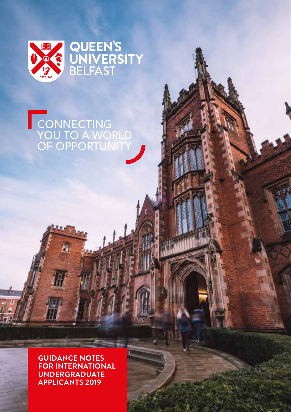

# CONNECTING YOU TO A WORLD OF OPPORTUNITY

**Guidance Notes for International Applicants 2019** 01 **Applicants 2019** 01 **Applicants 2019 GUIDANCE NOTES FOR INTERNATIONAL UNDERGRADUATE**

層

册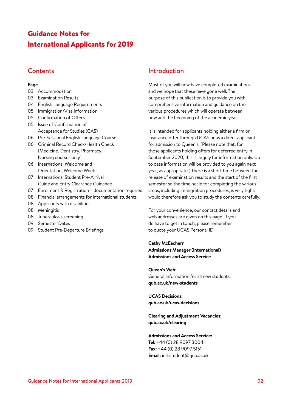## Guidance Notes for International Applicants for 2019

## **Contents**

#### **Page**

- 03 Accommodation
- 03 Examination Results
- 04 English Language Requirements
- 05 Immigration/Visa Information
- 05 Confirmation of Offers
- 05 Issue of Confirmation of Acceptance for Studies (CAS)
- 06 Pre-Sessional English Language Course
- 06 Criminal Record Check/Health Check (Medicine, Dentistry, Pharmacy, Nursing courses only)
- 06 International Welcome and Orientation, Welcome Week
- 07 International Student Pre-Arrival Guide and Entry Clearance Guidance
- 07 Enrolment & Registration documentation required
- 08 Financial arrangements for international students
- 08 Applicants with disabilities
- 08 Meningitis
- 08 Tuberculosis screening
- 09 Semester Dates
- 09 Student Pre-Departure Briefings

## Introduction

Most of you will now have completed examinations and we hope that these have gone well. The purpose of this publication is to provide you with comprehensive information and guidance on the various procedures which will operate between now and the beginning of the academic year.

It is intended for applicants holding either a firm or insurance offer through UCAS or as a direct applicant, for admission to Queen's. (Please note that, for those applicants holding offers for deferred entry in September 2020, this is largely for information only. Up to date information will be provided to you again next year, as appropriate.) There is a short time between the release of examination results and the start of the first semester so the time-scale for completing the various steps, including immigration procedures, is very tight. I would therefore ask you to study the contents carefully.

For your convenience, our contact details and web addresses are given on this page. If you do have to get in touch, please remember to quote your UCAS Personal ID.

**Cathy McEachern Admissions Manager (International) Admissions and Access Service**

**Queen's Web:** General Information for all new students: **qub.ac.uk/new-students**

**UCAS Decisions: qub.ac.uk/ucas-decisions**

**Clearing and Adjustment Vacancies: qub.ac.uk/clearing**

**Admissions and Access Service: Tel:** +44 (0) 28 9097 3004 **Fax:** +44 (0) 28 9097 5151 **Email:** intl.student@qub.ac.uk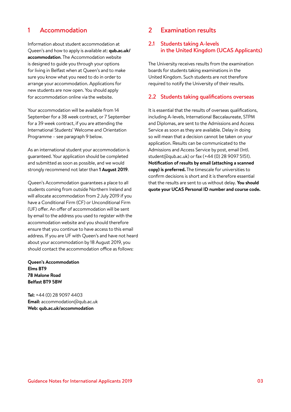## 1 Accommodation

Information about student accommodation at Queen's and how to apply is available at: **qub.ac.uk/ accommodation**. The Accommodation website is designed to guide you through your options for living in Belfast when at Queen's and to make sure you know what you need to do in order to arrange your accommodation. Applications for new students are now open. You should apply for accommodation online via the website.

Your accommodation will be available from 14 September for a 38 week contract, or 7 September for a 39 week contract, if you are attending the International Students' Welcome and Orientation Programme – see paragraph 9 below.

As an international student your accommodation is guaranteed. Your application should be completed and submitted as soon as possible, and we would strongly recommend not later than **1 August 2019**.

Queen's Accommodation guarantees a place to all students coming from outside Northern Ireland and will allocate accommodation from 2 July 2019 if you have a Conditional Firm (CF) or Unconditional Firm (UF) offer. An offer of accommodation will be sent by email to the address you used to register with the accommodation website and you should therefore ensure that you continue to have access to this email address. If you are UF with Queen's and have not heard about your accommodation by 18 August 2019, you should contact the accommodation office as follows:

**Queen's Accommodation Elms BT9 78 Malone Road Belfast BT9 5BW** 

**Tel:** +44 (0) 28 9097 4403 **Email:** accommodation@qub.ac.uk **Web: qub.ac.uk/accommodation**

## 2 Examination results

#### 2.1 Students taking A-levels in the United Kingdom (UCAS Applicants)

The University receives results from the examination boards for students taking examinations in the United Kingdom. Such students are not therefore required to notify the University of their results.

#### 2.2 Students taking qualifications overseas

It is essential that the results of overseas qualifications, including A-levels, International Baccalaureate, STPM and Diplomas, are sent to the Admissions and Access Service as soon as they are available. Delay in doing so will mean that a decision cannot be taken on your application. Results can be communicated to the Admissions and Access Service by post, email (Intl. student@qub.ac.uk) or fax (+44 (0) 28 9097 5151). **Notification of results by email (attaching a scanned copy) is preferred.** The timescale for universities to confirm decisions is short and it is therefore essential that the results are sent to us without delay. **You should quote your UCAS Personal ID number and course code.**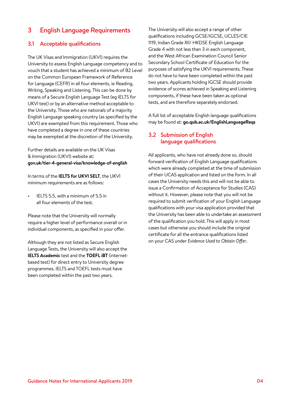## 3 English Language Requirements

#### 3.1 Acceptable qualifications

The UK Visas and Immigration (UKVI) requires the University to assess English Language competency and to vouch that a student has achieved a minimum of B2 Level on the Common European Framework of Reference for Language (CEFR) in all four elements, ie Reading, Writing, Speaking and Listening. This can be done by means of a Secure English Language Test (eg IELTS for UKVI test) or by an alternative method acceptable to the University. Those who are nationals of a majority English Language speaking country (as specified by the UKVI) are exempted from this requirement. Those who have completed a degree in one of these countries may be exempted at the discretion of the University.

Further details are available on the UK Visas & Immigration (UKVI) website at: **gov.uk/tier-4-general-visa/knowledge-of-english**

In terms of the **IELTS for UKVI SELT**, the UKVI minimum requirements are as follows:

• IELTS 5.5, with a minimum of 5.5 in all four elements of the test.

Please note that the University will normally require a higher level of performance overall or in individual components, as specified in your offer.

Although they are not listed as Secure English Language Tests, the University will also accept the **IELTS Academic** test and the **TOEFL iBT** (internetbased test) for direct entry to University degree programmes. IELTS and TOEFL tests must have been completed within the past two years.

The University will also accept a range of other qualifications including GCSE/IGCSE, UCLES/CIE 1119, Indian Grade XII/ HKDSE English Language Grade 4 with not less than 3 in each component, and the West African Examination Council Senior Secondary School Certificate of Education for the purposes of satisfying the UKVI requirements. These do not have to have been completed within the past two years. Applicants holding IGCSE should provide evidence of scores achieved in Speaking and Listening components, if these have been taken as optional tests, and are therefore separately endorsed.

A full list of acceptable English language qualifications may be found at: **go.qub.ac.uk/EnglishLanguageReqs**

#### 3.2 Submission of English language qualifications

All applicants, who have not already done so, should forward verification of English Language qualifications which were already completed at the time of submission of their UCAS application and listed on the form. In all cases the University needs this and will not be able to issue a Confirmation of Acceptance for Studies (CAS) without it. However, please note that you will not be required to submit verification of your English Language qualifications with your visa application provided that the University has been able to undertake an assessment of the qualification you hold. This will apply in most cases but otherwise you should include the original certificate for all the entrance qualifications listed on your CAS under *Evidence Used to Obtain Offer*.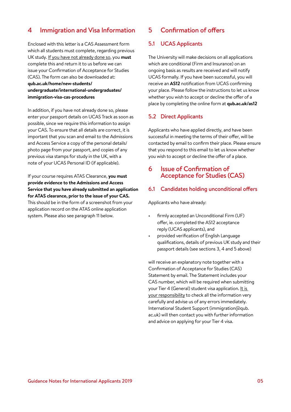## 4 Immigration and Visa Information

Enclosed with this letter is a CAS Assessment form which all students must complete, regarding previous UK study. If you have not already done so, you **must** complete this and return it to us before we can issue your Confirmation of Acceptance for Studies (CAS). The form can also be downloaded at: **qub.ac.uk/home/new-students/ undergraduate/international-undergraduates/ immigration-visa-cas-procedures**

In addition, if you have not already done so, please enter your passport details on UCAS Track as soon as possible, since we require this information to assign your CAS. To ensure that all details are correct, it is important that you scan and email to the Admissions and Access Service a copy of the personal details/ photo page from your passport, and copies of any previous visa stamps for study in the UK, with a note of your UCAS Personal ID (if applicable).

If your course requires ATAS Clearance, **you must provide evidence to the Admissions and Access Service that you have already submitted an application for ATAS clearance, prior to the issue of your CAS.** This should be in the form of a screenshot from your application record on the ATAS online application system. Please also see paragraph 11 below.

## 5 Confirmation of offers

#### 5.1 UCAS Applicants

The University will make decisions on all applications which are conditional (Firm and Insurance) on an ongoing basis as results are received and will notify UCAS formally. If you have been successful, you will receive an **AS12** notification from UCAS confirming your place. Please follow the instructions to let us know whether you wish to accept or decline the offer of a place by completing the online form at **qub.ac.uk/as12**

#### 5.2 Direct Applicants

Applicants who have applied directly, and have been successful in meeting the terms of their offer, will be contacted by email to confirm their place. Please ensure that you respond to this email to let us know whether you wish to accept or decline the offer of a place.

### 6 Issue of Confirmation of Acceptance for Studies (CAS)

#### 6.1 Candidates holding unconditional offers

Applicants who have already:

- firmly accepted an Unconditional Firm (UF) offer, ie. completed the AS12 acceptance reply (UCAS applicants), and
- provided verification of English Language qualifications, details of previous UK study and their passport details (see sections 3, 4 and 5 above)

will receive an explanatory note together with a Confirmation of Acceptance for Studies (CAS) Statement by email. The Statement includes your CAS number, which will be required when submitting your Tier 4 (General) student visa application. It is your responsibility to check all the information very carefully and advise us of any errors immediately. International Student Support (immigration@qub. ac.uk) will then contact you with further information and advice on applying for your Tier 4 visa.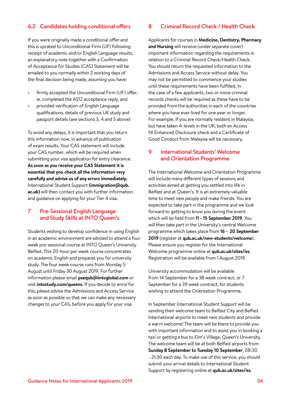#### 6.2 Candidates holding conditional offers

If you were originally made a conditional offer and this is uprated to Unconditional Firm (UF) following receipt of academic and/or English Language results, an explanatory note together with a Confirmation of Acceptance for Studies (CAS) Statement will be emailed to you normally within 2 working days of the final decision being made, assuming you have:

- firmly accepted the Unconditional Firm (UF) offer, ie. completed the AS12 acceptance reply, and
- provided verification of English Language qualifications, details of previous UK study and passport details (see sections 3, 4 and 5 above)

To avoid any delays, it is important that you return this information now, in advance of publication of exam results. Your CAS statement will include your CAS number, which will be required when submitting your visa application for entry clearance. **As soon as you receive your CAS Statement it is essential that you check all the information very carefully and advise us of any errors immediately.**  International Student Support **(immigration@qub. ac.uk)** will then contact you with further information and guidance on applying for your Tier 4 visa.

#### 7 Pre-Sessional English Language and Study Skills at INTO Queen's

Students wishing to develop confidence in using English in an academic environment are advised to attend a four week pre-sessional course at INTO Queen's University Belfast. This 20-hour per week course concentrates on academic English and prepares you for university study. The four week course runs from Monday 5 August until Friday 30 August 2019. For further information please email **psequb@intoglobal.com** or visit **intostudy.com/queens**. If you decide to enrol for this, please advise the Admissions and Access Service as soon as possible so that we can make any necessary changes to your CAS, before you apply for your visa.

#### 8 Criminal Record Check / Health Check

Applicants for courses in **Medicine, Dentistry, Pharmacy and Nursing** will receive (under separate cover) important information regarding the requirements in relation to a Criminal Record Check/Health Check. You should return the requested information to the Admissions and Access Service without delay. You may not be permitted to commence your studies until these requirements have been fulfilled. In the case of a few applicants, two or more criminal records checks will be required as these have to be provided from the authorities in each of the countries where you have ever lived for one year or longer. For example, if you are normally resident in Malaysia, but have taken A-levels in the UK, both an Access NI Enhanced Disclosure check and a Certificate of Good Conduct from Malaysia will be necessary.

#### 9 International Students' Welcome and Orientation Programme

The International Welcome and Orientation Programme will include many different types of sessions and activities aimed at getting you settled into life in Belfast and at Queen's. It is an extremely valuable time to meet new people and make friends. You are expected to take part in the programme and we look forward to getting to know you during the event which will be held from **11 - 15 September 2019**. You will then take part in the University's central Welcome programme which takes place from **16 – 20 September 2019** (register at **qub.ac.uk/new-students/welcome**). Please ensure you register for the International Welcome programme online at **qub.ac.uk/sites/iss**. Registration will be available from 1 August 2019.

University accommodation will be available from 14 September for a 38 week contract, or 7 September for a 39 week contract, for students wishing to attend the Orientation Programme.

In September International Student Support will be sending their welcome team to Belfast City and Belfast International airports to meet new students and provide a warm welcome! The team will be there to provide you with important information and to assist you in booking a taxi or getting a bus to Elm's Village, Queen's University. The welcome team will be at both Belfast airports from **Sunday 8 September to Tuesday 10 September**, 08:30 - 21:30 each day. To make use of this service, you should submit your arrival details to International Student Support by registering online at **qub.ac.uk/sites/iss**.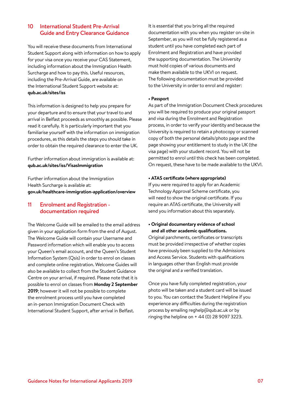#### 10 International Student Pre-Arrival Guide and Entry Clearance Guidance

You will receive these documents from International Student Support along with information on how to apply for your visa once you receive your CAS Statement, including information about the Immigration Health Surcharge and how to pay this. Useful resources, including the Pre-Arrival Guide, are available on the International Student Support website at: **qub.ac.uk/sites/iss**

This information is designed to help you prepare for your departure and to ensure that your travel to and arrival in Belfast proceeds as smoothly as possible. Please read it carefully. It is particularly important that you familiarise yourself with the information on immigration procedures, as this details the steps you should take in order to obtain the required clearance to enter the UK.

Further information about immigration is available at: **qub.ac.uk/sites/iss/VisasImmigration**

Further information about the Immigration Health Surcharge is available at: **gov.uk/healthcare-immigration-application/overview** 

#### 11 Enrolment and Registration documentation required

The Welcome Guide will be emailed to the email address given in your application form from the end of August. The Welcome Guide will contain your Username and Password information which will enable you to access your Queen's email account, and the Queen's Student Information System (Qsis) in order to enrol on classes and complete online registration. Welcome Guides will also be available to collect from the Student Guidance Centre on your arrival, if required. Please note that it is possible to enrol on classes from **Monday 2 September 2019**; however it will not be possible to complete the enrolment process until you have completed an in-person Immigration Document Check with International Student Support, after arrival in Belfast.

It is essential that you bring all the required documentation with you when you register on-site in September, as you will not be fully registered as a student until you have completed each part of Enrolment and Registration and have provided the supporting documentation. The University must hold copies of various documents and make them available to the UKVI on request. The following documentation must be provided to the University in order to enrol and register:

#### **• Passport**

As part of the Immigration Document Check procedures you will be required to produce your original passport and visa during the Enrolment and Registration process, in order to verify your identity and because the University is required to retain a photocopy or scanned copy of both the personal details/photo page and the page showing your entitlement to study in the UK (the visa page) with your student record. You will not be permitted to enrol until this check has been completed. On request, these have to be made available to the UKVI.

#### **• ATAS certificate (where appropriate)**

If you were required to apply for an Academic Technology Approval Scheme certificate, you will need to show the original certificate. If you require an ATAS certificate, the University will send you information about this separately.

**• Original documentary evidence of school and all other academic qualifications.**

Original parchments, certificates or transcripts must be provided irrespective of whether copies have previously been supplied to the Admissions and Access Service. Students with qualifications in languages other than English must provide the original and a verified translation.

Once you have fully completed registration, your photo will be taken and a student card will be issued to you. You can contact the Student Helpline if you experience any difficulties during the registration process by emailing reghelp@qub.ac.uk or by ringing the helpline on + 44 (0) 28 9097 3223.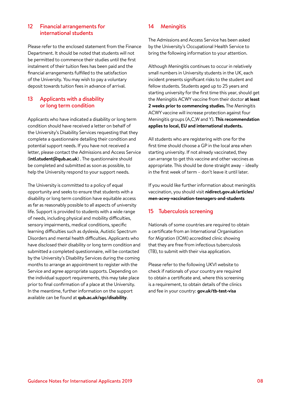#### 12 Financial arrangements for international students

Please refer to the enclosed statement from the Finance Department. It should be noted that students will not be permitted to commence their studies until the first instalment of their tuition fees has been paid and the financial arrangements fulfilled to the satisfaction of the University. You may wish to pay a voluntary deposit towards tuition fees in advance of arrival.

#### 13 Applicants with a disability or long term condition

Applicants who have indicated a disability or long term condition should have received a letter on behalf of the University's Disability Services requesting that they complete a questionnaire detailing their condition and potential support needs. If you have not received a letter, please contact the Admissions and Access Service (**intl.student@qub.ac.uk**) . The questionnaire should be completed and submitted as soon as possible, to help the University respond to your support needs.

The University is committed to a policy of equal opportunity and seeks to ensure that students with a disability or long term condition have equitable access as far as reasonably possible to all aspects of university life. Support is provided to students with a wide range of needs, including physical and mobility difficulties, sensory impairments, medical conditions, specific learning difficulties such as dyslexia, Autistic Spectrum Disorders and mental health difficulties. Applicants who have disclosed their disability or long term condition and submitted a completed questionnaire, will be contacted by the University's Disability Services during the coming months to arrange an appointment to register with the Service and agree appropriate supports. Depending on the individual support requirements, this may take place prior to final confirmation of a place at the University. In the meantime, further information on the support available can be found at **qub.ac.uk/sgc/disability**.

#### 14 Meningitis

The Admissions and Access Service has been asked by the University's Occupational Health Service to bring the following information to your attention.

Although Meningitis continues to occur in relatively small numbers in University students in the UK, each incident presents significant risks to the student and fellow students. Students aged up to 25 years and starting university for the first time this year, should get the Meningitis ACWY vaccine from their doctor **at least 2 weeks prior to commencing studies.** The Meningitis ACWY vaccine will increase protection against four Meningitis groups (A,C,W and Y). **This recommendation applies to local, EU and international students.**

All students who are registering with one for the first time should choose a GP in the local area when starting university. If not already vaccinated, they can arrange to get this vaccine and other vaccines as appropriate. This should be done straight away – ideally in the first week of term – don't leave it until later.

If you would like further information about meningitis vaccination, you should visit **nidirect.gov.uk/articles/ men-acwy-vaccination-teenagers-and-students**

#### 15 Tuberculosis screening

Nationals of some countries are required to obtain a certificate from an International Organisation for Migration (IOM) accredited clinic showing that they are free from infectious tuberculosis (TB), to submit with their visa application.

Please refer to the following UKVI website to check if nationals of your country are required to obtain a certificate and, where this screening is a requirement, to obtain details of the clinics and fee in your country: **gov.uk/tb-test-visa**